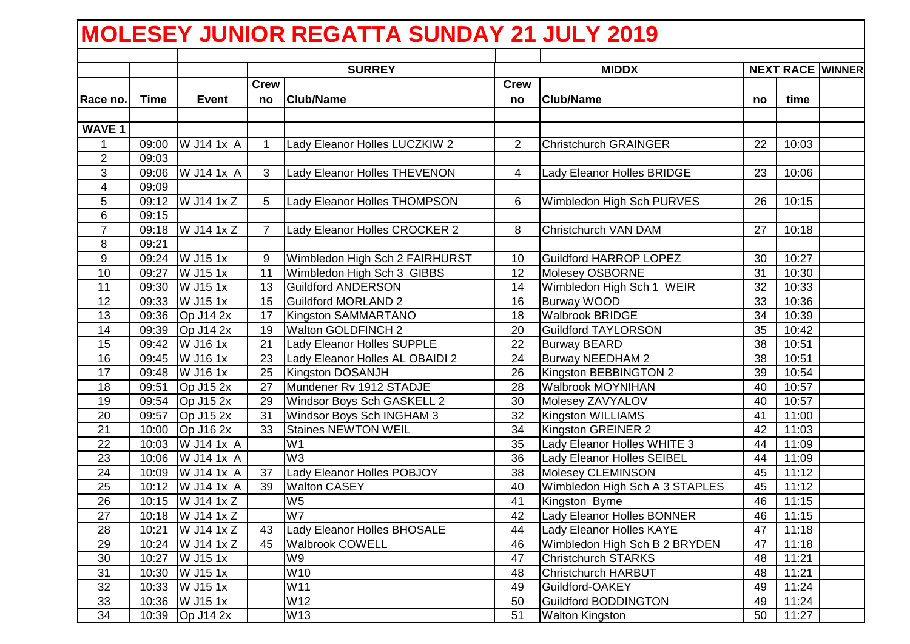|                         |             |                         |                   | <b>MOLESEY JUNIOR REGATTA SUNDAY 21 JULY 2019</b> |                   |                                   |    |       |                         |
|-------------------------|-------------|-------------------------|-------------------|---------------------------------------------------|-------------------|-----------------------------------|----|-------|-------------------------|
|                         |             |                         |                   |                                                   |                   |                                   |    |       |                         |
|                         |             |                         |                   | <b>SURREY</b>                                     |                   | <b>MIDDX</b>                      |    |       | <b>NEXT RACE WINNER</b> |
| Race no.                | <b>Time</b> | <b>Event</b>            | <b>Crew</b><br>no | <b>Club/Name</b>                                  | <b>Crew</b><br>no | <b>Club/Name</b>                  | no | time  |                         |
|                         |             |                         |                   |                                                   |                   |                                   |    |       |                         |
| <b>WAVE 1</b>           |             |                         |                   |                                                   |                   |                                   |    |       |                         |
| $\mathbf 1$             | 09:00       | W J14 1x A              | 1.                | Lady Eleanor Holles LUCZKIW 2                     | 2                 | <b>Christchurch GRAINGER</b>      | 22 | 10:03 |                         |
| $\overline{2}$          | 09:03       |                         |                   |                                                   |                   |                                   |    |       |                         |
| 3                       | 09:06       | W J14 1x A              | $\mathbf{3}$      | Lady Eleanor Holles THEVENON                      | 4                 | Lady Eleanor Holles BRIDGE        | 23 | 10:06 |                         |
| $\overline{\mathbf{4}}$ | 09:09       |                         |                   |                                                   |                   |                                   |    |       |                         |
| 5                       | 09:12       | W J14 1x Z              | 5                 | Lady Eleanor Holles THOMPSON                      | 6                 | Wimbledon High Sch PURVES         | 26 | 10:15 |                         |
| 6                       | 09:15       |                         |                   |                                                   |                   |                                   |    |       |                         |
| $\overline{7}$          | 09:18       | $\overline{W}$ J14 1x Z | $\overline{7}$    | Lady Eleanor Holles CROCKER 2                     | 8                 | Christchurch VAN DAM              | 27 | 10:18 |                         |
| 8                       | 09:21       |                         |                   |                                                   |                   |                                   |    |       |                         |
| 9                       |             | 09:24 W J15 1x          | 9                 | Wimbledon High Sch 2 FAIRHURST                    | 10                | <b>Guildford HARROP LOPEZ</b>     | 30 | 10:27 |                         |
| 10                      | 09:27       | W J15 1x                | 11                | Wimbledon High Sch 3 GIBBS                        | 12                | Molesey OSBORNE                   | 31 | 10:30 |                         |
| 11                      | 09:30       | W J15 1x                | 13                | <b>Guildford ANDERSON</b>                         | 14                | Wimbledon High Sch 1 WEIR         | 32 | 10:33 |                         |
| 12                      | 09:33       | W J15 1x                | 15                | <b>Guildford MORLAND 2</b>                        | 16                | <b>Burway WOOD</b>                | 33 | 10:36 |                         |
| 13                      |             | 09:36 Op J14 2x         | 17                | Kingston SAMMARTANO                               | 18                | <b>Walbrook BRIDGE</b>            | 34 | 10:39 |                         |
| 14                      |             | 09:39 Op J14 2x         | 19                | Walton GOLDFINCH 2                                | 20                | <b>Guildford TAYLORSON</b>        | 35 | 10:42 |                         |
| 15                      | 09:42       | W J16 1x                | 21                | Lady Eleanor Holles SUPPLE                        | 22                | <b>Burway BEARD</b>               | 38 | 10:51 |                         |
| 16                      | 09:45       | W J16 1x                | 23                | Lady Eleanor Holles AL OBAIDI 2                   | 24                | Burway NEEDHAM 2                  | 38 | 10:51 |                         |
| 17                      | 09:48       | W J16 1x                | 25                | Kingston DOSANJH                                  | 26                | Kingston BEBBINGTON 2             | 39 | 10:54 |                         |
| 18                      | 09:51       | Op J15 2x               | 27                | Mundener Rv 1912 STADJE                           | 28                | <b>Walbrook MOYNIHAN</b>          | 40 | 10:57 |                         |
| 19                      | 09:54       | $Op$ J15 2x             | 29                | Windsor Boys Sch GASKELL 2                        | 30                | Molesey ZAVYALOV                  | 40 | 10:57 |                         |
| 20                      | 09:57       | $Op$ J15 2x             | 31                | Windsor Boys Sch INGHAM 3                         | 32                | Kingston WILLIAMS                 | 41 | 11:00 |                         |
| 21                      | 10:00       | Op J16 2x               | 33                | <b>Staines NEWTON WEIL</b>                        | 34                | Kingston GREINER 2                | 42 | 11:03 |                         |
| 22                      | 10:03       | W J14 1x A              |                   | W <sub>1</sub>                                    | 35                | Lady Eleanor Holles WHITE 3       | 44 | 11:09 |                         |
| 23                      | 10:06       | W J14 1x A              |                   | W <sub>3</sub>                                    | 36                | Lady Eleanor Holles SEIBEL        | 44 | 11:09 |                         |
| 24                      | 10:09       | W J14 1x A              | 37                | Lady Eleanor Holles POBJOY                        | 38                | Molesey CLEMINSON                 | 45 | 11:12 |                         |
| 25                      |             | 10:12   W J14 1x A      | 39                | <b>Walton CASEY</b>                               | 40                | Wimbledon High Sch A 3 STAPLES    | 45 | 11:12 |                         |
| $\overline{26}$         |             | 10:15 W J14 1x Z        |                   | W <sub>5</sub>                                    | 41                | Kingston Byrne                    | 46 | 11:15 |                         |
| 27                      |             | 10:18   W J 14 1 x Z    |                   | W7                                                | 42                | <b>Lady Eleanor Holles BONNER</b> | 46 | 11:15 |                         |
| 28                      |             | 10:21   W J14 1x Z      | 43                | Lady Eleanor Holles BHOSALE                       | 44                | Lady Eleanor Holles KAYE          | 47 | 11:18 |                         |
| 29                      |             | 10:24   W J14 1x Z      | 45                | <b>Walbrook COWELL</b>                            | 46                | Wimbledon High Sch B 2 BRYDEN     | 47 | 11:18 |                         |
| 30                      |             | 10:27 W J15 1x          |                   | W9                                                | 47                | <b>Christchurch STARKS</b>        | 48 | 11:21 |                         |
| 31                      | 10:30       | W J15 1x                |                   | W10                                               | 48                | <b>Christchurch HARBUT</b>        | 48 | 11:21 |                         |
| 32                      |             | 10:33 W J15 1x          |                   | W11                                               | 49                | Guildford-OAKEY                   | 49 | 11:24 |                         |
| 33                      |             | 10:36 W J15 1x          |                   | W12                                               | 50                | <b>Guildford BODDINGTON</b>       | 49 | 11:24 |                         |
| 34                      |             | 10:39 Op J14 2x         |                   | W13                                               | 51                | <b>Walton Kingston</b>            | 50 | 11:27 |                         |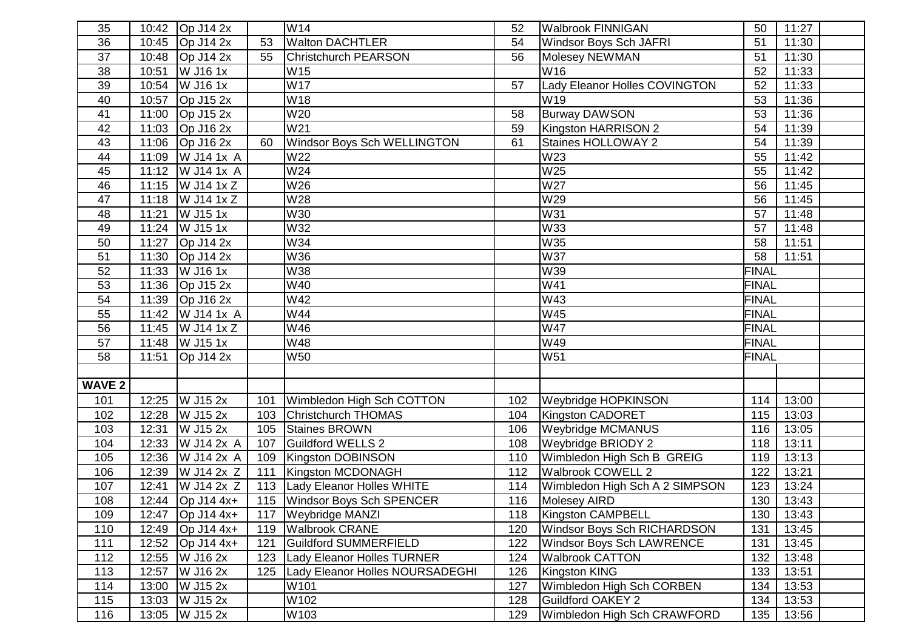| 35              |       | $\overline{10:}42$ Op J14 2x      |     | W14                                | 52  | <b>Walbrook FINNIGAN</b>           | 50           | 11:27               |  |
|-----------------|-------|-----------------------------------|-----|------------------------------------|-----|------------------------------------|--------------|---------------------|--|
| 36              |       | 10:45 Op J14 2x                   | 53  | <b>Walton DACHTLER</b>             | 54  | <b>Windsor Boys Sch JAFRI</b>      | 51           | 11:30               |  |
| 37              | 10:48 | $Op$ J14 2x                       | 55  | <b>Christchurch PEARSON</b>        | 56  | Molesey NEWMAN                     | 51           | 11:30               |  |
| 38              | 10:51 | W J16 1x                          |     | W15                                |     | W <sub>16</sub>                    | 52           | 11:33               |  |
| 39              | 10:54 | W J16 1x                          |     | <b>W17</b>                         | 57  | Lady Eleanor Holles COVINGTON      | 52           | 11:33               |  |
| 40              | 10:57 | Op $J15$ 2x                       |     | W18                                |     | W19                                | 53           | 11:36               |  |
| 41              | 11:00 | $\overline{OP}$ J15 2x            |     | W20                                | 58  | <b>Burway DAWSON</b>               | 53           | 11:36               |  |
| 42              | 11:03 | Op J16 2x                         |     | W21                                | 59  | Kingston HARRISON 2                | 54           | 11:39               |  |
| 43              |       | 11:06 Op J16 2x                   | 60  | <b>Windsor Boys Sch WELLINGTON</b> | 61  | Staines HOLLOWAY 2                 | 54           | 11:39               |  |
| 44              |       | 11:09   W J14 1x A                |     | W22                                |     | W23                                | 55           | 11:42               |  |
| 45              |       | $11:12$ W J14 1x A                |     | W24                                |     | W25                                | 55           | 11:42               |  |
| 46              |       | 11:15   W J14 1x Z                |     | W26                                |     | W27                                | 56           | 11:45               |  |
| 47              | 11:18 | $\overline{W}$ J14 1x Z           |     | W28                                |     | W29                                | 56           | 11:45               |  |
| 48              | 11:21 | W J15 1x                          |     | W30                                |     | W31                                | 57           | $\overline{1}$ 1:48 |  |
| 49              | 11:24 | W J15 1x                          |     | W32                                |     | <b>W33</b>                         | 57           | 11:48               |  |
| 50              | 11:27 | Op $J14$ 2x                       |     | W34                                |     | W35                                | 58           | 11:51               |  |
| 51              | 11:30 | $Op$ J14 2x                       |     | W36                                |     | <b>W37</b>                         | 58           | 11:51               |  |
| 52              | 11:33 | W J16 1x                          |     | W38                                |     | W39                                | <b>FINAL</b> |                     |  |
| 53              | 11:36 | $Op$ J15 2x                       |     | W40                                |     | W41                                | <b>FINAL</b> |                     |  |
| $\overline{54}$ | 11:39 | Op J16 2x                         |     | W42                                |     | <b>W43</b>                         | <b>FINAL</b> |                     |  |
| 55              |       | 11:42   W J14 1x A                |     | W44                                |     | W45                                | <b>FINAL</b> |                     |  |
| 56              | 11:45 | $\overline{W}$ J14 1x Z           |     | W46                                |     | <b>W47</b>                         | <b>FINAL</b> |                     |  |
| 57              | 11:48 | $\overline{\text{W}}$ J15 1x      |     | W48                                |     | W49                                | <b>FINAL</b> |                     |  |
| 58              | 11:51 | Op J14 2x                         |     | W <sub>50</sub>                    |     | W51                                | <b>FINAL</b> |                     |  |
|                 |       |                                   |     |                                    |     |                                    |              |                     |  |
| <b>WAVE 2</b>   |       |                                   |     |                                    |     |                                    |              |                     |  |
| 101             | 12:25 | W J15 2x                          | 101 | Wimbledon High Sch COTTON          | 102 | <b>Weybridge HOPKINSON</b>         | 114          | 13:00               |  |
| 102             | 12:28 | W J15 2x                          | 103 | Christchurch THOMAS                | 104 | Kingston CADORET                   | 115          | 13:03               |  |
| 103             | 12:31 | $\overline{W}$ J <sub>15</sub> 2x | 105 | Staines BROWN                      | 106 | <b>Weybridge MCMANUS</b>           | 116          | 13:05               |  |
| 104             | 12:33 | W J14 2x A                        | 107 | <b>Guildford WELLS 2</b>           | 108 | Weybridge BRIODY 2                 | 118          | 13:11               |  |
| 105             | 12:36 | W J14 2x A                        | 109 | Kingston DOBINSON                  | 110 | Wimbledon High Sch B GREIG         | 119          | 13:13               |  |
| 106             | 12:39 | W J14 2x Z                        | 111 | Kingston MCDONAGH                  | 112 | Walbrook COWELL 2                  | 122          | 13:21               |  |
| 107             | 12:41 | W J14 2x Z                        | 113 | Lady Eleanor Holles WHITE          | 114 | Wimbledon High Sch A 2 SIMPSON     | 123          | 13:24               |  |
| 108             |       | 12:44   Op J14 4x+                |     | 115 Windsor Boys Sch SPENCER       | 116 | <b>Molesey AIRD</b>                | 130          | 13:43               |  |
| 109             |       | 12:47 Op J14 4x+                  | 117 | <b>Weybridge MANZI</b>             | 118 | Kingston CAMPBELL                  | 130          | 13:43               |  |
| 110             |       | 12:49   Op J14 4x+                | 119 | <b>Walbrook CRANE</b>              | 120 | <b>Windsor Boys Sch RICHARDSON</b> | 131          | 13:45               |  |
| 111             | 12:52 | $Op$ J14 4x+                      | 121 | <b>Guildford SUMMERFIELD</b>       | 122 | <b>Windsor Boys Sch LAWRENCE</b>   | 131          | 13:45               |  |
| 112             | 12:55 | W J16 2x                          | 123 | <b>Lady Eleanor Holles TURNER</b>  | 124 | <b>Walbrook CATTON</b>             | 132          | 13:48               |  |
| 113             | 12:57 | W J16 2x                          | 125 | Lady Eleanor Holles NOURSADEGHI    | 126 | Kingston KING                      | 133          | 13:51               |  |
| 114             | 13:00 | W J15 2x                          |     | W101                               | 127 | Wimbledon High Sch CORBEN          | 134          | 13:53               |  |
| 115             | 13:03 | W J15 2x                          |     | W102                               | 128 | <b>Guildford OAKEY 2</b>           | 134          | 13:53               |  |
| 116             | 13:05 | W J15 2x                          |     | W103                               | 129 | Wimbledon High Sch CRAWFORD        | 135          | 13:56               |  |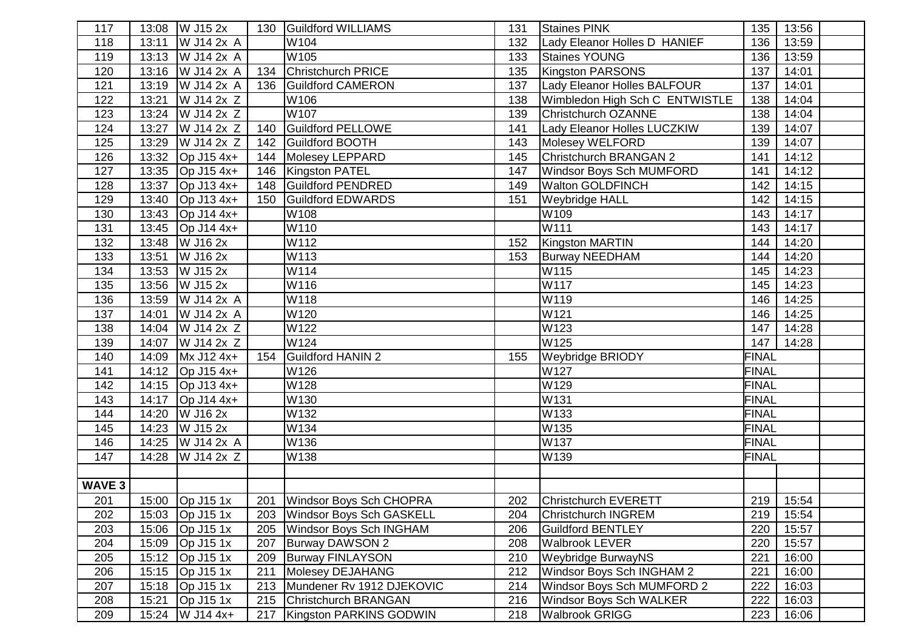| 117    |       | 13:08   W J15 2x        | 130 | Guildford WILLIAMS              | 131 | <b>Staines PINK</b>            | 135          | 13:56 |  |
|--------|-------|-------------------------|-----|---------------------------------|-----|--------------------------------|--------------|-------|--|
| 118    |       | 13:11   W J14 2x A      |     | W104                            | 132 | Lady Eleanor Holles D HANIEF   | 136          | 13:59 |  |
| 119    |       | 13:13   W J14 2x A      |     | W105                            | 133 | <b>Staines YOUNG</b>           | 136          | 13:59 |  |
| 120    |       | 13:16 W J14 2x A        | 134 | Christchurch PRICE              | 135 | <b>Kingston PARSONS</b>        | 137          | 14:01 |  |
| 121    |       | 13:19   W J14 2x A      | 136 | <b>Guildford CAMERON</b>        | 137 | Lady Eleanor Holles BALFOUR    | 137          | 14:01 |  |
| 122    | 13:21 | W J14 2x Z              |     | W106                            | 138 | Wimbledon High Sch C ENTWISTLE | 138          | 14:04 |  |
| 123    | 13:24 | W J14 2x Z              |     | W107                            | 139 | <b>Christchurch OZANNE</b>     | 138          | 14:04 |  |
| 124    |       | 13:27   W J14 2x Z      | 140 | Guildford PELLOWE               | 141 | Lady Eleanor Holles LUCZKIW    | 139          | 14:07 |  |
| 125    |       | 13:29   W J14 2x Z      | 142 | Guildford BOOTH                 | 143 | Molesey WELFORD                | 139          | 14:07 |  |
| 126    |       | 13:32 Op J15 4x+        | 144 | Molesey LEPPARD                 | 145 | Christchurch BRANGAN 2         | 141          | 14:12 |  |
| 127    |       | 13:35 Op J15 4x+        | 146 | Kingston PATEL                  | 147 | Windsor Boys Sch MUMFORD       | 141          | 14:12 |  |
| 128    |       | 13:37 Op J13 4x+        | 148 | <b>Guildford PENDRED</b>        | 149 | <b>Walton GOLDFINCH</b>        | 142          | 14:15 |  |
| 129    | 13:40 | $Op$ J13 4x+            | 150 | Guildford EDWARDS               | 151 | <b>Weybridge HALL</b>          | 142          | 14:15 |  |
| 130    |       | 13:43 Op J14 4x+        |     | W108                            |     | W109                           | 143          | 14:17 |  |
| 131    |       | 13:45   Op J14 4x+      |     | W110                            |     | W111                           | 143          | 14:17 |  |
| 132    |       | 13:48 W J16 2x          |     | W112                            | 152 | Kingston MARTIN                | 144          | 14:20 |  |
| 133    | 13:51 | W J16 2x                |     | W113                            | 153 | <b>Burway NEEDHAM</b>          | 144          | 14:20 |  |
| 134    |       | 13:53 $\sqrt{W}$ J15 2x |     | W114                            |     | W115                           | 145          | 14:23 |  |
| 135    |       | 13:56 W J15 2x          |     | W116                            |     | W117                           | 145          | 14:23 |  |
| 136    |       | 13:59   W J14 2x A      |     | W118                            |     | W119                           | 146          | 14:25 |  |
| 137    |       | 14:01   W J14 2x A      |     | W120                            |     | W121                           | 146          | 14:25 |  |
| 138    |       | 14:04 W J14 2x Z        |     | W122                            |     | W123                           | 147          | 14:28 |  |
| 139    |       | 14:07   W J14 2x Z      |     | W124                            |     | W125                           | 147          | 14:28 |  |
| 140    |       | 14:09 Mx J12 4x+        | 154 | <b>Guildford HANIN 2</b>        | 155 | <b>Weybridge BRIODY</b>        | <b>FINAL</b> |       |  |
| 141    |       | 14:12 Op J15 4x+        |     | W126                            |     | W127                           | <b>FINAL</b> |       |  |
| 142    |       | 14:15   Op J13 4x+      |     | W128                            |     | W129                           | <b>FINAL</b> |       |  |
| 143    |       | 14:17 Op J14 4x+        |     | W130                            |     | W131                           | <b>FINAL</b> |       |  |
| 144    |       | 14:20 W J16 2x          |     | W132                            |     | W133                           | <b>FINAL</b> |       |  |
| 145    |       | 14:23 $\sqrt{W}$ J15 2x |     | W134                            |     | W135                           | <b>FINAL</b> |       |  |
| 146    |       | 14:25 W J14 2x A        |     | W136                            |     | W137                           | <b>FINAL</b> |       |  |
| 147    |       | 14:28   W J14 2x Z      |     | W138                            |     | W139                           | <b>FINAL</b> |       |  |
|        |       |                         |     |                                 |     |                                |              |       |  |
| WAVE 3 |       |                         |     |                                 |     |                                |              |       |  |
| 201    |       | 15:00 Op J15 1x         |     | 201 Windsor Boys Sch CHOPRA     | 202 | Christchurch EVERETT           | 219          | 15:54 |  |
| 202    |       | 15:03 Op J15 1x         | 203 | <b>Windsor Boys Sch GASKELL</b> | 204 | <b>Christchurch INGREM</b>     | 219          | 15:54 |  |
| 203    |       | 15:06 Op J15 1x         | 205 | Windsor Boys Sch INGHAM         | 206 | <b>Guildford BENTLEY</b>       | 220          | 15:57 |  |
| 204    | 15:09 | $Op$ J15 1 $x$          | 207 | Burway DAWSON 2                 | 208 | <b>Walbrook LEVER</b>          | 220          | 15:57 |  |
| 205    |       | 15:12 Op J15 1x         | 209 | <b>Burway FINLAYSON</b>         | 210 | <b>Weybridge BurwayNS</b>      | 221          | 16:00 |  |
| 206    |       | 15:15 Op J15 1x         | 211 | Molesey DEJAHANG                | 212 | Windsor Boys Sch INGHAM 2      | 221          | 16:00 |  |
| 207    | 15:18 | $\overline{OP}$ J15 1x  | 213 | Mundener Rv 1912 DJEKOVIC       | 214 | Windsor Boys Sch MUMFORD 2     | 222          | 16:03 |  |
| 208    | 15:21 | Op J15 1x               | 215 | Christchurch BRANGAN            | 216 | <b>Windsor Boys Sch WALKER</b> | 222          | 16:03 |  |
| 209    |       | 15:24   W J14 4x+       | 217 | Kingston PARKINS GODWIN         | 218 | <b>Walbrook GRIGG</b>          | 223          | 16:06 |  |